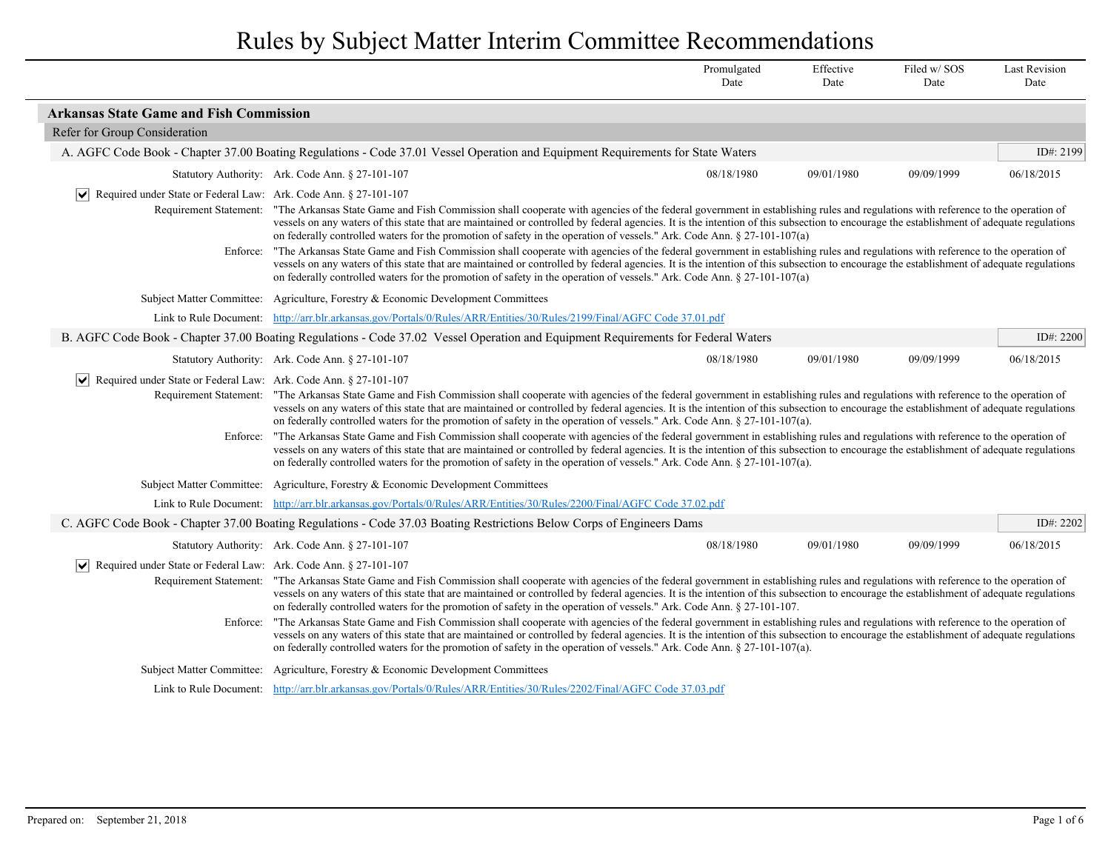|                                                                                 |                                                                                                                                                                                                                                                                                                                                                                                                                                                                                                                                                                                                                                                                                                               | Promulgated<br>Date | Effective<br>Date | Filed w/SOS<br>Date | <b>Last Revision</b><br>Date |
|---------------------------------------------------------------------------------|---------------------------------------------------------------------------------------------------------------------------------------------------------------------------------------------------------------------------------------------------------------------------------------------------------------------------------------------------------------------------------------------------------------------------------------------------------------------------------------------------------------------------------------------------------------------------------------------------------------------------------------------------------------------------------------------------------------|---------------------|-------------------|---------------------|------------------------------|
| <b>Arkansas State Game and Fish Commission</b>                                  |                                                                                                                                                                                                                                                                                                                                                                                                                                                                                                                                                                                                                                                                                                               |                     |                   |                     |                              |
| Refer for Group Consideration                                                   |                                                                                                                                                                                                                                                                                                                                                                                                                                                                                                                                                                                                                                                                                                               |                     |                   |                     |                              |
|                                                                                 | A. AGFC Code Book - Chapter 37.00 Boating Regulations - Code 37.01 Vessel Operation and Equipment Requirements for State Waters                                                                                                                                                                                                                                                                                                                                                                                                                                                                                                                                                                               |                     |                   |                     | ID#: 2199                    |
|                                                                                 | Statutory Authority: Ark. Code Ann. § 27-101-107                                                                                                                                                                                                                                                                                                                                                                                                                                                                                                                                                                                                                                                              | 08/18/1980          | 09/01/1980        | 09/09/1999          | 06/18/2015                   |
| ↓ Required under State or Federal Law: Ark. Code Ann. § 27-101-107              |                                                                                                                                                                                                                                                                                                                                                                                                                                                                                                                                                                                                                                                                                                               |                     |                   |                     |                              |
|                                                                                 | Requirement Statement: "The Arkansas State Game and Fish Commission shall cooperate with agencies of the federal government in establishing rules and regulations with reference to the operation of<br>vessels on any waters of this state that are maintained or controlled by federal agencies. It is the intention of this subsection to encourage the establishment of adequate regulations<br>on federally controlled waters for the promotion of safety in the operation of vessels." Ark. Code Ann. $\S$ 27-101-107(a)                                                                                                                                                                                |                     |                   |                     |                              |
| Enforce:                                                                        | "The Arkansas State Game and Fish Commission shall cooperate with agencies of the federal government in establishing rules and regulations with reference to the operation of<br>vessels on any waters of this state that are maintained or controlled by federal agencies. It is the intention of this subsection to encourage the establishment of adequate regulations<br>on federally controlled waters for the promotion of safety in the operation of vessels." Ark. Code Ann. $\S$ 27-101-107(a)                                                                                                                                                                                                       |                     |                   |                     |                              |
|                                                                                 | Subject Matter Committee: Agriculture, Forestry & Economic Development Committees                                                                                                                                                                                                                                                                                                                                                                                                                                                                                                                                                                                                                             |                     |                   |                     |                              |
|                                                                                 | Link to Rule Document: http://arr.blr.arkansas.gov/Portals/0/Rules/ARR/Entities/30/Rules/2199/Final/AGFC Code 37.01.pdf                                                                                                                                                                                                                                                                                                                                                                                                                                                                                                                                                                                       |                     |                   |                     |                              |
|                                                                                 | B. AGFC Code Book - Chapter 37.00 Boating Regulations - Code 37.02 Vessel Operation and Equipment Requirements for Federal Waters                                                                                                                                                                                                                                                                                                                                                                                                                                                                                                                                                                             |                     |                   |                     | ID#: 2200                    |
|                                                                                 | Statutory Authority: Ark. Code Ann. § 27-101-107                                                                                                                                                                                                                                                                                                                                                                                                                                                                                                                                                                                                                                                              | 08/18/1980          | 09/01/1980        | 09/09/1999          | 06/18/2015                   |
| Required under State or Federal Law: Ark. Code Ann. § 27-101-107<br>Enforce:    | Requirement Statement: "The Arkansas State Game and Fish Commission shall cooperate with agencies of the federal government in establishing rules and regulations with reference to the operation of<br>vessels on any waters of this state that are maintained or controlled by federal agencies. It is the intention of this subsection to encourage the establishment of adequate regulations<br>on federally controlled waters for the promotion of safety in the operation of vessels." Ark. Code Ann. § 27-101-107(a).<br>"The Arkansas State Game and Fish Commission shall cooperate with agencies of the federal government in establishing rules and regulations with reference to the operation of |                     |                   |                     |                              |
|                                                                                 | vessels on any waters of this state that are maintained or controlled by federal agencies. It is the intention of this subsection to encourage the establishment of adequate regulations<br>on federally controlled waters for the promotion of safety in the operation of vessels." Ark. Code Ann. § 27-101-107(a).                                                                                                                                                                                                                                                                                                                                                                                          |                     |                   |                     |                              |
|                                                                                 | Subject Matter Committee: Agriculture, Forestry & Economic Development Committees                                                                                                                                                                                                                                                                                                                                                                                                                                                                                                                                                                                                                             |                     |                   |                     |                              |
|                                                                                 | Link to Rule Document: http://arr.blr.arkansas.gov/Portals/0/Rules/ARR/Entities/30/Rules/2200/Final/AGFC Code 37.02.pdf                                                                                                                                                                                                                                                                                                                                                                                                                                                                                                                                                                                       |                     |                   |                     |                              |
|                                                                                 | C. AGFC Code Book - Chapter 37.00 Boating Regulations - Code 37.03 Boating Restrictions Below Corps of Engineers Dams                                                                                                                                                                                                                                                                                                                                                                                                                                                                                                                                                                                         |                     |                   |                     | ID#: 2202                    |
|                                                                                 | Statutory Authority: Ark. Code Ann. § 27-101-107                                                                                                                                                                                                                                                                                                                                                                                                                                                                                                                                                                                                                                                              | 08/18/1980          | 09/01/1980        | 09/09/1999          | 06/18/2015                   |
| $ \mathbf{v} $ Required under State or Federal Law: Ark. Code Ann. § 27-101-107 | Requirement Statement: "The Arkansas State Game and Fish Commission shall cooperate with agencies of the federal government in establishing rules and regulations with reference to the operation of<br>vessels on any waters of this state that are maintained or controlled by federal agencies. It is the intention of this subsection to encourage the establishment of adequate regulations<br>on federally controlled waters for the promotion of safety in the operation of vessels." Ark. Code Ann. $\S$ 27-101-107.                                                                                                                                                                                  |                     |                   |                     |                              |
|                                                                                 | "The Arkansas State Game and Fish Commission shall cooperate with agencies of the federal government in establishing rules and regulations with reference to the operation of<br>Enforce:<br>vessels on any waters of this state that are maintained or controlled by federal agencies. It is the intention of this subsection to encourage the establishment of adequate regulations<br>on federally controlled waters for the promotion of safety in the operation of vessels." Ark. Code Ann. $\S$ 27-101-107(a).                                                                                                                                                                                          |                     |                   |                     |                              |
| Subject Matter Committee:                                                       | Agriculture, Forestry & Economic Development Committees                                                                                                                                                                                                                                                                                                                                                                                                                                                                                                                                                                                                                                                       |                     |                   |                     |                              |
|                                                                                 | Link to Rule Document: http://arr.blr.arkansas.gov/Portals/0/Rules/ARR/Entities/30/Rules/2202/Final/AGFC Code 37.03.pdf                                                                                                                                                                                                                                                                                                                                                                                                                                                                                                                                                                                       |                     |                   |                     |                              |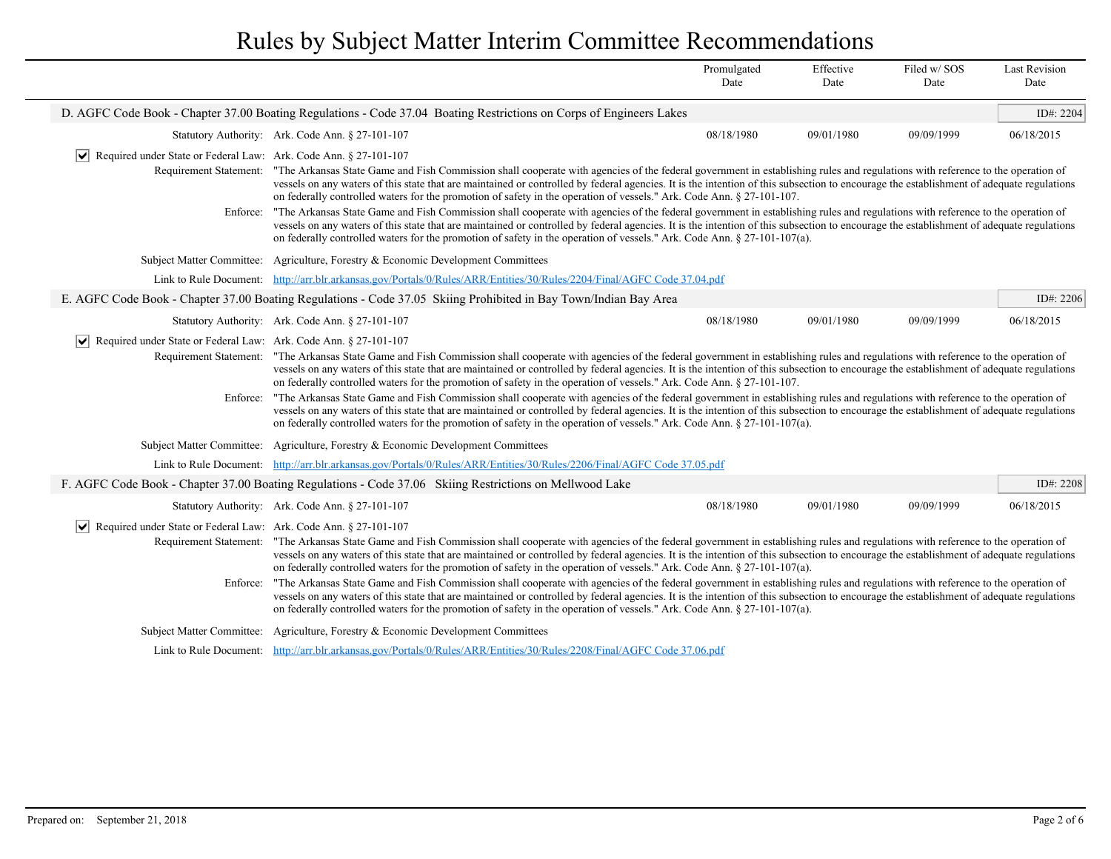|                                                                                                                                                                                                                                                                                                                                                                                                                                                                                                                                                                                                                                                                                                                                                                                                                                                                                                                                                                                                                                                                                                                                              |                                                                                                                                                                                                                                                                                                                                                                                                                                                                                                                                                                                                                                                                                                                                                                                                                                                                                                                                                                                                                                        | Promulgated<br>Date | Effective<br>Date | Filed w/SOS<br>Date | <b>Last Revision</b><br>Date |  |
|----------------------------------------------------------------------------------------------------------------------------------------------------------------------------------------------------------------------------------------------------------------------------------------------------------------------------------------------------------------------------------------------------------------------------------------------------------------------------------------------------------------------------------------------------------------------------------------------------------------------------------------------------------------------------------------------------------------------------------------------------------------------------------------------------------------------------------------------------------------------------------------------------------------------------------------------------------------------------------------------------------------------------------------------------------------------------------------------------------------------------------------------|----------------------------------------------------------------------------------------------------------------------------------------------------------------------------------------------------------------------------------------------------------------------------------------------------------------------------------------------------------------------------------------------------------------------------------------------------------------------------------------------------------------------------------------------------------------------------------------------------------------------------------------------------------------------------------------------------------------------------------------------------------------------------------------------------------------------------------------------------------------------------------------------------------------------------------------------------------------------------------------------------------------------------------------|---------------------|-------------------|---------------------|------------------------------|--|
|                                                                                                                                                                                                                                                                                                                                                                                                                                                                                                                                                                                                                                                                                                                                                                                                                                                                                                                                                                                                                                                                                                                                              | D. AGFC Code Book - Chapter 37.00 Boating Regulations - Code 37.04 Boating Restrictions on Corps of Engineers Lakes                                                                                                                                                                                                                                                                                                                                                                                                                                                                                                                                                                                                                                                                                                                                                                                                                                                                                                                    |                     |                   |                     | ID#: 2204                    |  |
|                                                                                                                                                                                                                                                                                                                                                                                                                                                                                                                                                                                                                                                                                                                                                                                                                                                                                                                                                                                                                                                                                                                                              | Statutory Authority: Ark. Code Ann. § 27-101-107                                                                                                                                                                                                                                                                                                                                                                                                                                                                                                                                                                                                                                                                                                                                                                                                                                                                                                                                                                                       | 08/18/1980          | 09/01/1980        | 09/09/1999          | 06/18/2015                   |  |
| Required under State or Federal Law: Ark. Code Ann. § 27-101-107<br>$ \bm{\mathsf{v}} $<br>Requirement Statement:                                                                                                                                                                                                                                                                                                                                                                                                                                                                                                                                                                                                                                                                                                                                                                                                                                                                                                                                                                                                                            | "The Arkansas State Game and Fish Commission shall cooperate with agencies of the federal government in establishing rules and regulations with reference to the operation of<br>vessels on any waters of this state that are maintained or controlled by federal agencies. It is the intention of this subsection to encourage the establishment of adequate regulations<br>on federally controlled waters for the promotion of safety in the operation of vessels." Ark. Code Ann. § 27-101-107.                                                                                                                                                                                                                                                                                                                                                                                                                                                                                                                                     |                     |                   |                     |                              |  |
| Enforce:                                                                                                                                                                                                                                                                                                                                                                                                                                                                                                                                                                                                                                                                                                                                                                                                                                                                                                                                                                                                                                                                                                                                     | "The Arkansas State Game and Fish Commission shall cooperate with agencies of the federal government in establishing rules and regulations with reference to the operation of<br>vessels on any waters of this state that are maintained or controlled by federal agencies. It is the intention of this subsection to encourage the establishment of adequate regulations<br>on federally controlled waters for the promotion of safety in the operation of vessels." Ark. Code Ann. § 27-101-107(a).                                                                                                                                                                                                                                                                                                                                                                                                                                                                                                                                  |                     |                   |                     |                              |  |
|                                                                                                                                                                                                                                                                                                                                                                                                                                                                                                                                                                                                                                                                                                                                                                                                                                                                                                                                                                                                                                                                                                                                              | Subject Matter Committee: Agriculture, Forestry & Economic Development Committees                                                                                                                                                                                                                                                                                                                                                                                                                                                                                                                                                                                                                                                                                                                                                                                                                                                                                                                                                      |                     |                   |                     |                              |  |
|                                                                                                                                                                                                                                                                                                                                                                                                                                                                                                                                                                                                                                                                                                                                                                                                                                                                                                                                                                                                                                                                                                                                              | Link to Rule Document: http://arr.blr.arkansas.gov/Portals/0/Rules/ARR/Entities/30/Rules/2204/Final/AGFC Code 37.04.pdf                                                                                                                                                                                                                                                                                                                                                                                                                                                                                                                                                                                                                                                                                                                                                                                                                                                                                                                |                     |                   |                     |                              |  |
|                                                                                                                                                                                                                                                                                                                                                                                                                                                                                                                                                                                                                                                                                                                                                                                                                                                                                                                                                                                                                                                                                                                                              | E. AGFC Code Book - Chapter 37.00 Boating Regulations - Code 37.05 Skiing Prohibited in Bay Town/Indian Bay Area                                                                                                                                                                                                                                                                                                                                                                                                                                                                                                                                                                                                                                                                                                                                                                                                                                                                                                                       |                     |                   |                     | ID#: 2206                    |  |
|                                                                                                                                                                                                                                                                                                                                                                                                                                                                                                                                                                                                                                                                                                                                                                                                                                                                                                                                                                                                                                                                                                                                              | Statutory Authority: Ark. Code Ann. § 27-101-107                                                                                                                                                                                                                                                                                                                                                                                                                                                                                                                                                                                                                                                                                                                                                                                                                                                                                                                                                                                       | 08/18/1980          | 09/01/1980        | 09/09/1999          | 06/18/2015                   |  |
| $ \mathbf{v} $ Required under State or Federal Law: Ark. Code Ann. § 27-101-107<br>Enforce:                                                                                                                                                                                                                                                                                                                                                                                                                                                                                                                                                                                                                                                                                                                                                                                                                                                                                                                                                                                                                                                  | Requirement Statement: "The Arkansas State Game and Fish Commission shall cooperate with agencies of the federal government in establishing rules and regulations with reference to the operation of<br>vessels on any waters of this state that are maintained or controlled by federal agencies. It is the intention of this subsection to encourage the establishment of adequate regulations<br>on federally controlled waters for the promotion of safety in the operation of vessels." Ark. Code Ann. $\S 27$ -101-107.<br>"The Arkansas State Game and Fish Commission shall cooperate with agencies of the federal government in establishing rules and regulations with reference to the operation of<br>vessels on any waters of this state that are maintained or controlled by federal agencies. It is the intention of this subsection to encourage the establishment of adequate regulations<br>on federally controlled waters for the promotion of safety in the operation of vessels." Ark. Code Ann. § 27-101-107(a). |                     |                   |                     |                              |  |
|                                                                                                                                                                                                                                                                                                                                                                                                                                                                                                                                                                                                                                                                                                                                                                                                                                                                                                                                                                                                                                                                                                                                              | Subject Matter Committee: Agriculture, Forestry & Economic Development Committees                                                                                                                                                                                                                                                                                                                                                                                                                                                                                                                                                                                                                                                                                                                                                                                                                                                                                                                                                      |                     |                   |                     |                              |  |
| Link to Rule Document:                                                                                                                                                                                                                                                                                                                                                                                                                                                                                                                                                                                                                                                                                                                                                                                                                                                                                                                                                                                                                                                                                                                       | http://arr.blr.arkansas.gov/Portals/0/Rules/ARR/Entities/30/Rules/2206/Final/AGFC Code 37.05.pdf                                                                                                                                                                                                                                                                                                                                                                                                                                                                                                                                                                                                                                                                                                                                                                                                                                                                                                                                       |                     |                   |                     |                              |  |
|                                                                                                                                                                                                                                                                                                                                                                                                                                                                                                                                                                                                                                                                                                                                                                                                                                                                                                                                                                                                                                                                                                                                              | F. AGFC Code Book - Chapter 37.00 Boating Regulations - Code 37.06 Skiing Restrictions on Mellwood Lake                                                                                                                                                                                                                                                                                                                                                                                                                                                                                                                                                                                                                                                                                                                                                                                                                                                                                                                                |                     |                   |                     | ID#: 2208                    |  |
|                                                                                                                                                                                                                                                                                                                                                                                                                                                                                                                                                                                                                                                                                                                                                                                                                                                                                                                                                                                                                                                                                                                                              | Statutory Authority: Ark. Code Ann. § 27-101-107                                                                                                                                                                                                                                                                                                                                                                                                                                                                                                                                                                                                                                                                                                                                                                                                                                                                                                                                                                                       | 08/18/1980          | 09/01/1980        | 09/09/1999          | 06/18/2015                   |  |
| Required under State or Federal Law: Ark. Code Ann. § 27-101-107<br>$ \bm{\mathsf{v}} $<br>Requirement Statement: "The Arkansas State Game and Fish Commission shall cooperate with agencies of the federal government in establishing rules and regulations with reference to the operation of<br>vessels on any waters of this state that are maintained or controlled by federal agencies. It is the intention of this subsection to encourage the establishment of adequate regulations<br>on federally controlled waters for the promotion of safety in the operation of vessels." Ark. Code Ann. § 27-101-107(a).<br>"The Arkansas State Game and Fish Commission shall cooperate with agencies of the federal government in establishing rules and regulations with reference to the operation of<br>Enforce:<br>vessels on any waters of this state that are maintained or controlled by federal agencies. It is the intention of this subsection to encourage the establishment of adequate regulations<br>on federally controlled waters for the promotion of safety in the operation of vessels." Ark. Code Ann. § 27-101-107(a). |                                                                                                                                                                                                                                                                                                                                                                                                                                                                                                                                                                                                                                                                                                                                                                                                                                                                                                                                                                                                                                        |                     |                   |                     |                              |  |
| <b>Subject Matter Committee:</b>                                                                                                                                                                                                                                                                                                                                                                                                                                                                                                                                                                                                                                                                                                                                                                                                                                                                                                                                                                                                                                                                                                             | Agriculture, Forestry & Economic Development Committees                                                                                                                                                                                                                                                                                                                                                                                                                                                                                                                                                                                                                                                                                                                                                                                                                                                                                                                                                                                |                     |                   |                     |                              |  |
|                                                                                                                                                                                                                                                                                                                                                                                                                                                                                                                                                                                                                                                                                                                                                                                                                                                                                                                                                                                                                                                                                                                                              | Link to Rule Document: http://arr.blr.arkansas.gov/Portals/0/Rules/ARR/Entities/30/Rules/2208/Final/AGFC Code 37.06.pdf                                                                                                                                                                                                                                                                                                                                                                                                                                                                                                                                                                                                                                                                                                                                                                                                                                                                                                                |                     |                   |                     |                              |  |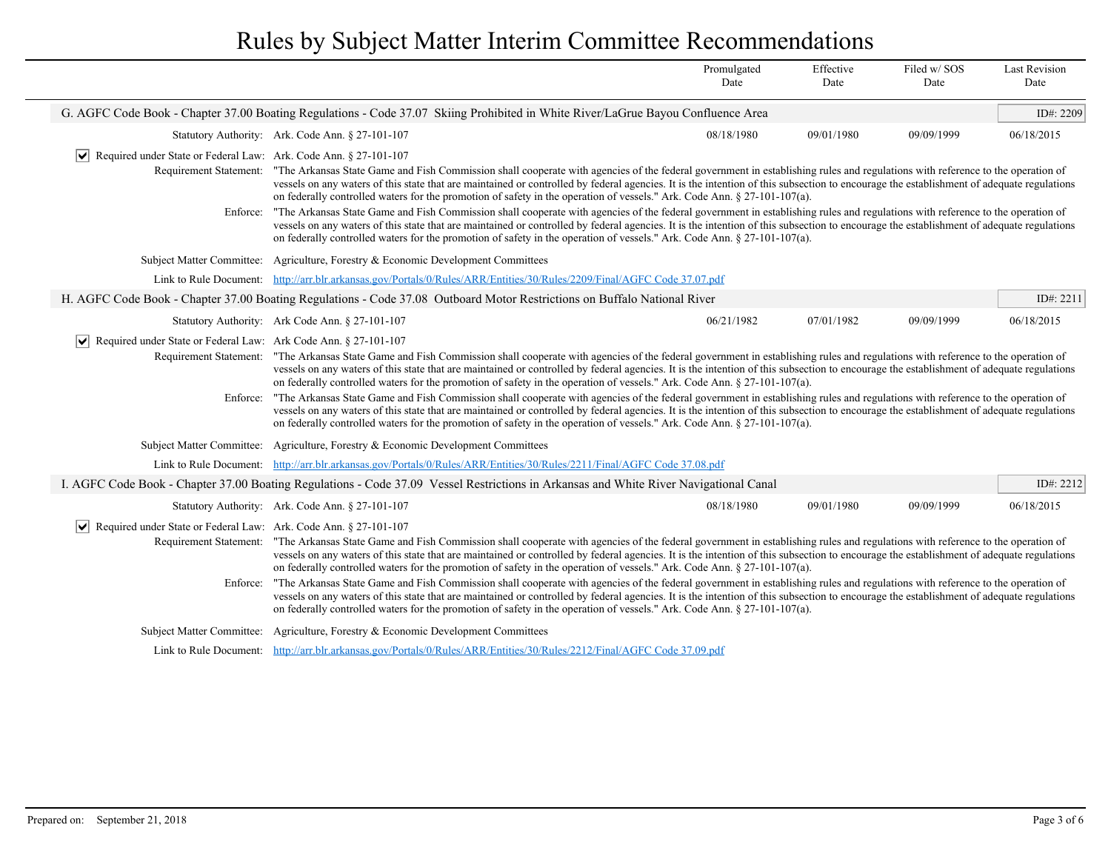|                                                                                                   |                                                                                                                                                                                                                                                                                                                                                                                                                                                                                                                                                                                                                                                                                                                                                                                                                                                                                                                                                                                                                                                                                                           | Promulgated<br>Date | Effective<br>Date | Filed w/SOS<br>Date | <b>Last Revision</b><br>Date |  |
|---------------------------------------------------------------------------------------------------|-----------------------------------------------------------------------------------------------------------------------------------------------------------------------------------------------------------------------------------------------------------------------------------------------------------------------------------------------------------------------------------------------------------------------------------------------------------------------------------------------------------------------------------------------------------------------------------------------------------------------------------------------------------------------------------------------------------------------------------------------------------------------------------------------------------------------------------------------------------------------------------------------------------------------------------------------------------------------------------------------------------------------------------------------------------------------------------------------------------|---------------------|-------------------|---------------------|------------------------------|--|
|                                                                                                   | G. AGFC Code Book - Chapter 37.00 Boating Regulations - Code 37.07 Skiing Prohibited in White River/LaGrue Bayou Confluence Area                                                                                                                                                                                                                                                                                                                                                                                                                                                                                                                                                                                                                                                                                                                                                                                                                                                                                                                                                                          |                     |                   |                     | ID#: 2209                    |  |
|                                                                                                   | Statutory Authority: Ark. Code Ann. § 27-101-107                                                                                                                                                                                                                                                                                                                                                                                                                                                                                                                                                                                                                                                                                                                                                                                                                                                                                                                                                                                                                                                          | 08/18/1980          | 09/01/1980        | 09/09/1999          | 06/18/2015                   |  |
| Required under State or Federal Law: Ark. Code Ann. § 27-101-107<br>∣V∣<br>Requirement Statement: | "The Arkansas State Game and Fish Commission shall cooperate with agencies of the federal government in establishing rules and regulations with reference to the operation of<br>vessels on any waters of this state that are maintained or controlled by federal agencies. It is the intention of this subsection to encourage the establishment of adequate regulations<br>on federally controlled waters for the promotion of safety in the operation of vessels." Ark. Code Ann. § 27-101-107(a).                                                                                                                                                                                                                                                                                                                                                                                                                                                                                                                                                                                                     |                     |                   |                     |                              |  |
|                                                                                                   | "The Arkansas State Game and Fish Commission shall cooperate with agencies of the federal government in establishing rules and regulations with reference to the operation of<br>Enforce:<br>vessels on any waters of this state that are maintained or controlled by federal agencies. It is the intention of this subsection to encourage the establishment of adequate regulations<br>on federally controlled waters for the promotion of safety in the operation of vessels." Ark. Code Ann. § 27-101-107(a).                                                                                                                                                                                                                                                                                                                                                                                                                                                                                                                                                                                         |                     |                   |                     |                              |  |
|                                                                                                   | Subject Matter Committee: Agriculture, Forestry & Economic Development Committees                                                                                                                                                                                                                                                                                                                                                                                                                                                                                                                                                                                                                                                                                                                                                                                                                                                                                                                                                                                                                         |                     |                   |                     |                              |  |
|                                                                                                   | Link to Rule Document: http://arr.blr.arkansas.gov/Portals/0/Rules/ARR/Entities/30/Rules/2209/Final/AGFC Code 37.07.pdf                                                                                                                                                                                                                                                                                                                                                                                                                                                                                                                                                                                                                                                                                                                                                                                                                                                                                                                                                                                   |                     |                   |                     |                              |  |
|                                                                                                   | H. AGFC Code Book - Chapter 37.00 Boating Regulations - Code 37.08 Outboard Motor Restrictions on Buffalo National River                                                                                                                                                                                                                                                                                                                                                                                                                                                                                                                                                                                                                                                                                                                                                                                                                                                                                                                                                                                  |                     |                   |                     | ID#: $2211$                  |  |
|                                                                                                   | Statutory Authority: Ark Code Ann. § 27-101-107                                                                                                                                                                                                                                                                                                                                                                                                                                                                                                                                                                                                                                                                                                                                                                                                                                                                                                                                                                                                                                                           | 06/21/1982          | 07/01/1982        | 09/09/1999          | 06/18/2015                   |  |
| Required under State or Federal Law: Ark Code Ann. § 27-101-107<br>Enforce:                       | Requirement Statement: "The Arkansas State Game and Fish Commission shall cooperate with agencies of the federal government in establishing rules and regulations with reference to the operation of<br>vessels on any waters of this state that are maintained or controlled by federal agencies. It is the intention of this subsection to encourage the establishment of adequate regulations<br>on federally controlled waters for the promotion of safety in the operation of vessels." Ark. Code Ann. § 27-101-107(a).<br>"The Arkansas State Game and Fish Commission shall cooperate with agencies of the federal government in establishing rules and regulations with reference to the operation of<br>vessels on any waters of this state that are maintained or controlled by federal agencies. It is the intention of this subsection to encourage the establishment of adequate regulations<br>on federally controlled waters for the promotion of safety in the operation of vessels." Ark. Code Ann. § 27-101-107(a).                                                                     |                     |                   |                     |                              |  |
|                                                                                                   | Subject Matter Committee: Agriculture, Forestry & Economic Development Committees                                                                                                                                                                                                                                                                                                                                                                                                                                                                                                                                                                                                                                                                                                                                                                                                                                                                                                                                                                                                                         |                     |                   |                     |                              |  |
|                                                                                                   | Link to Rule Document: http://arr.blr.arkansas.gov/Portals/0/Rules/ARR/Entities/30/Rules/2211/Final/AGFC Code 37.08.pdf                                                                                                                                                                                                                                                                                                                                                                                                                                                                                                                                                                                                                                                                                                                                                                                                                                                                                                                                                                                   |                     |                   |                     |                              |  |
|                                                                                                   | I. AGFC Code Book - Chapter 37.00 Boating Regulations - Code 37.09 Vessel Restrictions in Arkansas and White River Navigational Canal                                                                                                                                                                                                                                                                                                                                                                                                                                                                                                                                                                                                                                                                                                                                                                                                                                                                                                                                                                     |                     |                   |                     | ID#: 2212                    |  |
|                                                                                                   | Statutory Authority: Ark. Code Ann. § 27-101-107                                                                                                                                                                                                                                                                                                                                                                                                                                                                                                                                                                                                                                                                                                                                                                                                                                                                                                                                                                                                                                                          | 08/18/1980          | 09/01/1980        | 09/09/1999          | 06/18/2015                   |  |
| $ \mathsf{v} $<br>Enforce:                                                                        | Required under State or Federal Law: Ark. Code Ann. § 27-101-107<br>Requirement Statement: "The Arkansas State Game and Fish Commission shall cooperate with agencies of the federal government in establishing rules and regulations with reference to the operation of<br>vessels on any waters of this state that are maintained or controlled by federal agencies. It is the intention of this subsection to encourage the establishment of adequate regulations<br>on federally controlled waters for the promotion of safety in the operation of vessels." Ark. Code Ann. § 27-101-107(a).<br>"The Arkansas State Game and Fish Commission shall cooperate with agencies of the federal government in establishing rules and regulations with reference to the operation of<br>vessels on any waters of this state that are maintained or controlled by federal agencies. It is the intention of this subsection to encourage the establishment of adequate regulations<br>on federally controlled waters for the promotion of safety in the operation of vessels." Ark. Code Ann. § 27-101-107(a). |                     |                   |                     |                              |  |
|                                                                                                   | Subject Matter Committee: Agriculture, Forestry & Economic Development Committees                                                                                                                                                                                                                                                                                                                                                                                                                                                                                                                                                                                                                                                                                                                                                                                                                                                                                                                                                                                                                         |                     |                   |                     |                              |  |
|                                                                                                   | Link to Rule Document: http://arr.blr.arkansas.gov/Portals/0/Rules/ARR/Entities/30/Rules/2212/Final/AGFC Code 37.09.pdf                                                                                                                                                                                                                                                                                                                                                                                                                                                                                                                                                                                                                                                                                                                                                                                                                                                                                                                                                                                   |                     |                   |                     |                              |  |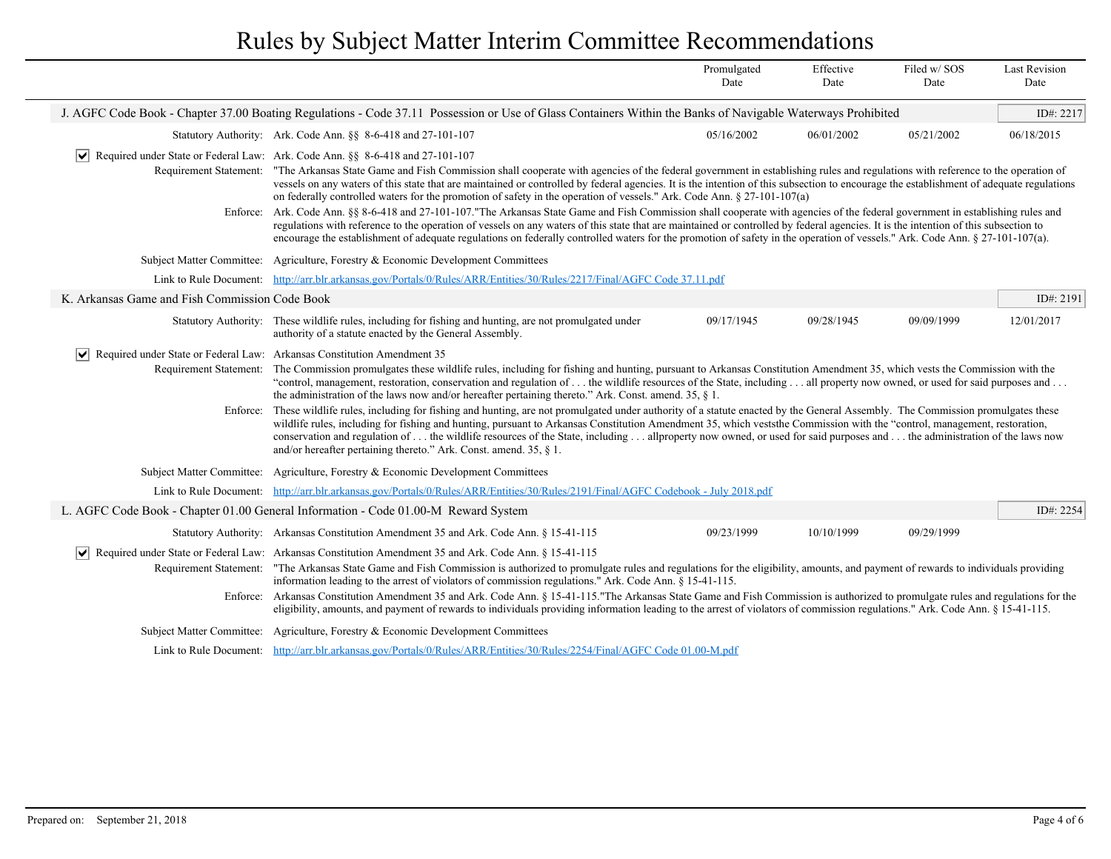|                                                |                                                                                                                                                                                                                                                                                                                                                                                                                                                                                                                                                                                                          | Promulgated<br>Date                                                                                                                                                                                                                                                                                                                                                                                                                                                                                     | Effective<br>Date | Filed w/SOS<br>Date | <b>Last Revision</b><br>Date |
|------------------------------------------------|----------------------------------------------------------------------------------------------------------------------------------------------------------------------------------------------------------------------------------------------------------------------------------------------------------------------------------------------------------------------------------------------------------------------------------------------------------------------------------------------------------------------------------------------------------------------------------------------------------|---------------------------------------------------------------------------------------------------------------------------------------------------------------------------------------------------------------------------------------------------------------------------------------------------------------------------------------------------------------------------------------------------------------------------------------------------------------------------------------------------------|-------------------|---------------------|------------------------------|
|                                                |                                                                                                                                                                                                                                                                                                                                                                                                                                                                                                                                                                                                          | J. AGFC Code Book - Chapter 37.00 Boating Regulations - Code 37.11 Possession or Use of Glass Containers Within the Banks of Navigable Waterways Prohibited                                                                                                                                                                                                                                                                                                                                             |                   |                     |                              |
|                                                | Statutory Authority: Ark. Code Ann. §§ 8-6-418 and 27-101-107                                                                                                                                                                                                                                                                                                                                                                                                                                                                                                                                            | 05/16/2002                                                                                                                                                                                                                                                                                                                                                                                                                                                                                              | 06/01/2002        | 05/21/2002          | 06/18/2015                   |
| $ \bm{\mathsf{v}} $<br>Requirement Statement:  | Required under State or Federal Law: Ark. Code Ann. §§ 8-6-418 and 27-101-107                                                                                                                                                                                                                                                                                                                                                                                                                                                                                                                            | "The Arkansas State Game and Fish Commission shall cooperate with agencies of the federal government in establishing rules and regulations with reference to the operation of<br>vessels on any waters of this state that are maintained or controlled by federal agencies. It is the intention of this subsection to encourage the establishment of adequate regulations<br>on federally controlled waters for the promotion of safety in the operation of vessels." Ark. Code Ann. $\S$ 27-101-107(a) |                   |                     |                              |
|                                                | Enforce: Ark. Code Ann. §§ 8-6-418 and 27-101-107."The Arkansas State Game and Fish Commission shall cooperate with agencies of the federal government in establishing rules and<br>regulations with reference to the operation of vessels on any waters of this state that are maintained or controlled by federal agencies. It is the intention of this subsection to<br>encourage the establishment of adequate regulations on federally controlled waters for the promotion of safety in the operation of vessels." Ark. Code Ann. § 27-101-107(a).                                                  |                                                                                                                                                                                                                                                                                                                                                                                                                                                                                                         |                   |                     |                              |
|                                                | Subject Matter Committee: Agriculture, Forestry & Economic Development Committees                                                                                                                                                                                                                                                                                                                                                                                                                                                                                                                        |                                                                                                                                                                                                                                                                                                                                                                                                                                                                                                         |                   |                     |                              |
| Link to Rule Document:                         | http://arr.blr.arkansas.gov/Portals/0/Rules/ARR/Entities/30/Rules/2217/Final/AGFC Code 37.11.pdf                                                                                                                                                                                                                                                                                                                                                                                                                                                                                                         |                                                                                                                                                                                                                                                                                                                                                                                                                                                                                                         |                   |                     |                              |
| K. Arkansas Game and Fish Commission Code Book |                                                                                                                                                                                                                                                                                                                                                                                                                                                                                                                                                                                                          |                                                                                                                                                                                                                                                                                                                                                                                                                                                                                                         |                   |                     | ID#: 2191                    |
|                                                | Statutory Authority: These wildlife rules, including for fishing and hunting, are not promulgated under<br>authority of a statute enacted by the General Assembly.                                                                                                                                                                                                                                                                                                                                                                                                                                       | 09/17/1945                                                                                                                                                                                                                                                                                                                                                                                                                                                                                              | 09/28/1945        | 09/09/1999          | 12/01/2017                   |
| $ \vee $                                       | Required under State or Federal Law: Arkansas Constitution Amendment 35                                                                                                                                                                                                                                                                                                                                                                                                                                                                                                                                  |                                                                                                                                                                                                                                                                                                                                                                                                                                                                                                         |                   |                     |                              |
| Requirement Statement:                         | The Commission promulgates these wildlife rules, including for fishing and hunting, pursuant to Arkansas Constitution Amendment 35, which vests the Commission with the<br>"control, management, restoration, conservation and regulation of  the wildlife resources of the State, including  all property now owned, or used for said purposes and<br>the administration of the laws now and/or hereafter pertaining thereto." Ark. Const. amend. 35, $\S$ 1.                                                                                                                                           |                                                                                                                                                                                                                                                                                                                                                                                                                                                                                                         |                   |                     |                              |
| Enforce:                                       | These wildlife rules, including for fishing and hunting, are not promulgated under authority of a statute enacted by the General Assembly. The Commission promulgates these<br>wildlife rules, including for fishing and hunting, pursuant to Arkansas Constitution Amendment 35, which veststhe Commission with the "control, management, restoration,<br>conservation and regulation of  the wildlife resources of the State, including  allproperty now owned, or used for said purposes and  the administration of the laws now<br>and/or hereafter pertaining thereto." Ark. Const. amend. 35, § 1. |                                                                                                                                                                                                                                                                                                                                                                                                                                                                                                         |                   |                     |                              |
|                                                | Subject Matter Committee: Agriculture, Forestry & Economic Development Committees                                                                                                                                                                                                                                                                                                                                                                                                                                                                                                                        |                                                                                                                                                                                                                                                                                                                                                                                                                                                                                                         |                   |                     |                              |
|                                                | Link to Rule Document: http://arr.blr.arkansas.gov/Portals/0/Rules/ARR/Entities/30/Rules/2191/Final/AGFC Codebook - July 2018.pdf                                                                                                                                                                                                                                                                                                                                                                                                                                                                        |                                                                                                                                                                                                                                                                                                                                                                                                                                                                                                         |                   |                     |                              |
|                                                | L. AGFC Code Book - Chapter 01.00 General Information - Code 01.00-M Reward System                                                                                                                                                                                                                                                                                                                                                                                                                                                                                                                       |                                                                                                                                                                                                                                                                                                                                                                                                                                                                                                         |                   |                     | ID#: 2254                    |
|                                                | Statutory Authority: Arkansas Constitution Amendment 35 and Ark. Code Ann. § 15-41-115                                                                                                                                                                                                                                                                                                                                                                                                                                                                                                                   | 09/23/1999                                                                                                                                                                                                                                                                                                                                                                                                                                                                                              | 10/10/1999        | 09/29/1999          |                              |
| $ \vee $                                       | Required under State or Federal Law: Arkansas Constitution Amendment 35 and Ark. Code Ann. § 15-41-115                                                                                                                                                                                                                                                                                                                                                                                                                                                                                                   |                                                                                                                                                                                                                                                                                                                                                                                                                                                                                                         |                   |                     |                              |
|                                                | "The Arkansas State Game and Fish Commission is authorized to promulgate rules and regulations for the eligibility, amounts, and payment of rewards to individuals providing<br>Requirement Statement:<br>information leading to the arrest of violators of commission regulations." Ark. Code Ann. § 15-41-115.                                                                                                                                                                                                                                                                                         |                                                                                                                                                                                                                                                                                                                                                                                                                                                                                                         |                   |                     |                              |
|                                                | Enforce: Arkansas Constitution Amendment 35 and Ark. Code Ann. § 15-41-115."The Arkansas State Game and Fish Commission is authorized to promulgate rules and regulations for the<br>eligibility, amounts, and payment of rewards to individuals providing information leading to the arrest of violators of commission regulations." Ark. Code Ann. § 15-41-115.                                                                                                                                                                                                                                        |                                                                                                                                                                                                                                                                                                                                                                                                                                                                                                         |                   |                     |                              |
|                                                | Subject Matter Committee: Agriculture, Forestry & Economic Development Committees                                                                                                                                                                                                                                                                                                                                                                                                                                                                                                                        |                                                                                                                                                                                                                                                                                                                                                                                                                                                                                                         |                   |                     |                              |
|                                                | Link to Rule Document: http://arr.blr.arkansas.gov/Portals/0/Rules/ARR/Entities/30/Rules/2254/Final/AGFC Code 01.00-M.pdf                                                                                                                                                                                                                                                                                                                                                                                                                                                                                |                                                                                                                                                                                                                                                                                                                                                                                                                                                                                                         |                   |                     |                              |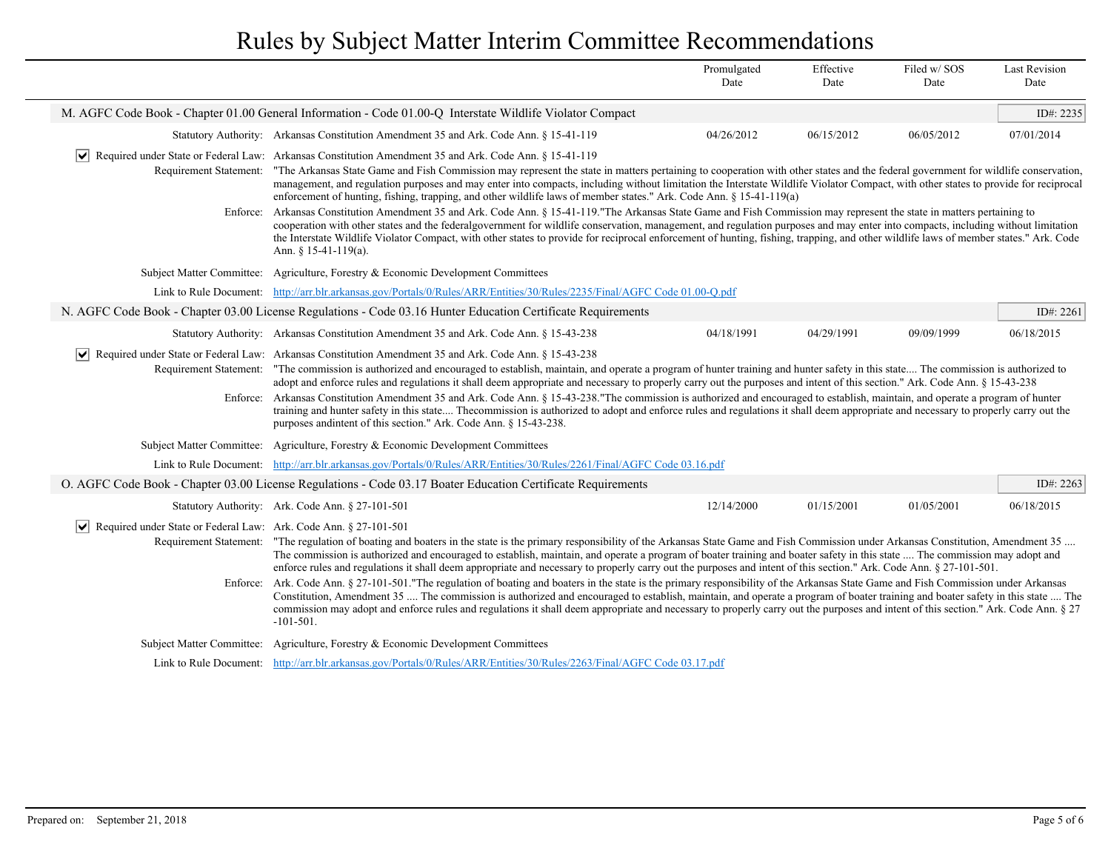|                                                                  |                                                                                                                                                                                                                                                                                                                                                                                                                                                                                                                                                                                                                                                                                                                                                                                                                                                                                                               | Promulgated<br>Date                                                                                                                                                                                                                                                                                                                                                                                                                                                                                                    | Effective<br>Date | Filed w/SOS<br>Date | <b>Last Revision</b><br>Date |  |
|------------------------------------------------------------------|---------------------------------------------------------------------------------------------------------------------------------------------------------------------------------------------------------------------------------------------------------------------------------------------------------------------------------------------------------------------------------------------------------------------------------------------------------------------------------------------------------------------------------------------------------------------------------------------------------------------------------------------------------------------------------------------------------------------------------------------------------------------------------------------------------------------------------------------------------------------------------------------------------------|------------------------------------------------------------------------------------------------------------------------------------------------------------------------------------------------------------------------------------------------------------------------------------------------------------------------------------------------------------------------------------------------------------------------------------------------------------------------------------------------------------------------|-------------------|---------------------|------------------------------|--|
|                                                                  | M. AGFC Code Book - Chapter 01.00 General Information - Code 01.00-Q Interstate Wildlife Violator Compact                                                                                                                                                                                                                                                                                                                                                                                                                                                                                                                                                                                                                                                                                                                                                                                                     |                                                                                                                                                                                                                                                                                                                                                                                                                                                                                                                        |                   |                     | ID#: 2235                    |  |
|                                                                  | Statutory Authority: Arkansas Constitution Amendment 35 and Ark. Code Ann. § 15-41-119                                                                                                                                                                                                                                                                                                                                                                                                                                                                                                                                                                                                                                                                                                                                                                                                                        | 04/26/2012                                                                                                                                                                                                                                                                                                                                                                                                                                                                                                             | 06/15/2012        | 06/05/2012          | 07/01/2014                   |  |
| $ \bm{\mathsf{v}} $                                              | Required under State or Federal Law: Arkansas Constitution Amendment 35 and Ark. Code Ann. § 15-41-119                                                                                                                                                                                                                                                                                                                                                                                                                                                                                                                                                                                                                                                                                                                                                                                                        |                                                                                                                                                                                                                                                                                                                                                                                                                                                                                                                        |                   |                     |                              |  |
|                                                                  |                                                                                                                                                                                                                                                                                                                                                                                                                                                                                                                                                                                                                                                                                                                                                                                                                                                                                                               | Requirement Statement: "The Arkansas State Game and Fish Commission may represent the state in matters pertaining to cooperation with other states and the federal government for wildlife conservation,<br>management, and regulation purposes and may enter into compacts, including without limitation the Interstate Wildlife Violator Compact, with other states to provide for reciprocal<br>enforcement of hunting, fishing, trapping, and other wildlife laws of member states." Ark. Code Ann. § 15-41-119(a) |                   |                     |                              |  |
| Enforce:                                                         | Arkansas Constitution Amendment 35 and Ark. Code Ann. § 15-41-119. "The Arkansas State Game and Fish Commission may represent the state in matters pertaining to<br>cooperation with other states and the federalgovernment for wildlife conservation, management, and regulation purposes and may enter into compacts, including without limitation<br>the Interstate Wildlife Violator Compact, with other states to provide for reciprocal enforcement of hunting, fishing, trapping, and other wildlife laws of member states." Ark. Code<br>Ann. § 15-41-119(a).                                                                                                                                                                                                                                                                                                                                         |                                                                                                                                                                                                                                                                                                                                                                                                                                                                                                                        |                   |                     |                              |  |
| <b>Subject Matter Committee:</b>                                 | Agriculture, Forestry & Economic Development Committees                                                                                                                                                                                                                                                                                                                                                                                                                                                                                                                                                                                                                                                                                                                                                                                                                                                       |                                                                                                                                                                                                                                                                                                                                                                                                                                                                                                                        |                   |                     |                              |  |
|                                                                  | Link to Rule Document: http://arr.blr.arkansas.gov/Portals/0/Rules/ARR/Entities/30/Rules/2235/Final/AGFC Code 01.00-O.pdf                                                                                                                                                                                                                                                                                                                                                                                                                                                                                                                                                                                                                                                                                                                                                                                     |                                                                                                                                                                                                                                                                                                                                                                                                                                                                                                                        |                   |                     |                              |  |
|                                                                  | N. AGFC Code Book - Chapter 03.00 License Regulations - Code 03.16 Hunter Education Certificate Requirements                                                                                                                                                                                                                                                                                                                                                                                                                                                                                                                                                                                                                                                                                                                                                                                                  |                                                                                                                                                                                                                                                                                                                                                                                                                                                                                                                        |                   |                     | ID#: 2261                    |  |
|                                                                  | Statutory Authority: Arkansas Constitution Amendment 35 and Ark. Code Ann. § 15-43-238                                                                                                                                                                                                                                                                                                                                                                                                                                                                                                                                                                                                                                                                                                                                                                                                                        | 04/18/1991                                                                                                                                                                                                                                                                                                                                                                                                                                                                                                             | 04/29/1991        | 09/09/1999          | 06/18/2015                   |  |
| $ \vee $<br>Requirement Statement:<br>Enforce:                   | Required under State or Federal Law: Arkansas Constitution Amendment 35 and Ark. Code Ann. § 15-43-238<br>"The commission is authorized and encouraged to establish, maintain, and operate a program of hunter training and hunter safety in this state The commission is authorized to<br>adopt and enforce rules and regulations it shall deem appropriate and necessary to properly carry out the purposes and intent of this section." Ark. Code Ann. § 15-43-238<br>Arkansas Constitution Amendment 35 and Ark. Code Ann. § 15-43-238."The commission is authorized and encouraged to establish, maintain, and operate a program of hunter<br>training and hunter safety in this state The<br>commission is authorized to adopt and enforce rules and regulations it shall deem appropriate and necessary to properly carry out the<br>purposes and intent of this section." Ark. Code Ann. § 15-43-238. |                                                                                                                                                                                                                                                                                                                                                                                                                                                                                                                        |                   |                     |                              |  |
|                                                                  | Subject Matter Committee: Agriculture, Forestry & Economic Development Committees                                                                                                                                                                                                                                                                                                                                                                                                                                                                                                                                                                                                                                                                                                                                                                                                                             |                                                                                                                                                                                                                                                                                                                                                                                                                                                                                                                        |                   |                     |                              |  |
|                                                                  | Link to Rule Document: http://arr.blr.arkansas.gov/Portals/0/Rules/ARR/Entities/30/Rules/2261/Final/AGFC Code 03.16.pdf                                                                                                                                                                                                                                                                                                                                                                                                                                                                                                                                                                                                                                                                                                                                                                                       |                                                                                                                                                                                                                                                                                                                                                                                                                                                                                                                        |                   |                     |                              |  |
|                                                                  | O. AGFC Code Book - Chapter 03.00 License Regulations - Code 03.17 Boater Education Certificate Requirements                                                                                                                                                                                                                                                                                                                                                                                                                                                                                                                                                                                                                                                                                                                                                                                                  |                                                                                                                                                                                                                                                                                                                                                                                                                                                                                                                        |                   |                     | ID#: $2263$                  |  |
|                                                                  | Statutory Authority: Ark. Code Ann. § 27-101-501                                                                                                                                                                                                                                                                                                                                                                                                                                                                                                                                                                                                                                                                                                                                                                                                                                                              | 12/14/2000                                                                                                                                                                                                                                                                                                                                                                                                                                                                                                             | 01/15/2001        | 01/05/2001          | 06/18/2015                   |  |
| Required under State or Federal Law: Ark. Code Ann. § 27-101-501 |                                                                                                                                                                                                                                                                                                                                                                                                                                                                                                                                                                                                                                                                                                                                                                                                                                                                                                               |                                                                                                                                                                                                                                                                                                                                                                                                                                                                                                                        |                   |                     |                              |  |
|                                                                  | Requirement Statement: "The regulation of boating and boaters in the state is the primary responsibility of the Arkansas State Game and Fish Commission under Arkansas Constitution, Amendment 35<br>The commission is authorized and encouraged to establish, maintain, and operate a program of boater training and boater safety in this state  The commission may adopt and<br>enforce rules and regulations it shall deem appropriate and necessary to properly carry out the purposes and intent of this section." Ark. Code Ann. § 27-101-501.                                                                                                                                                                                                                                                                                                                                                         |                                                                                                                                                                                                                                                                                                                                                                                                                                                                                                                        |                   |                     |                              |  |
|                                                                  | Enforce: Ark. Code Ann. § 27-101-501."The regulation of boating and boaters in the state is the primary responsibility of the Arkansas State Game and Fish Commission under Arkansas<br>Constitution, Amendment 35  The commission is authorized and encouraged to establish, maintain, and operate a program of boater training and boater safety in this state  The<br>commission may adopt and enforce rules and regulations it shall deem appropriate and necessary to properly carry out the purposes and intent of this section." Ark. Code Ann. § 27<br>$-101-501$ .                                                                                                                                                                                                                                                                                                                                   |                                                                                                                                                                                                                                                                                                                                                                                                                                                                                                                        |                   |                     |                              |  |
| <b>Subject Matter Committee:</b>                                 | Agriculture, Forestry & Economic Development Committees                                                                                                                                                                                                                                                                                                                                                                                                                                                                                                                                                                                                                                                                                                                                                                                                                                                       |                                                                                                                                                                                                                                                                                                                                                                                                                                                                                                                        |                   |                     |                              |  |
|                                                                  | Link to Rule Document: http://arr.blr.arkansas.gov/Portals/0/Rules/ARR/Entities/30/Rules/2263/Final/AGFC Code 03.17.pdf                                                                                                                                                                                                                                                                                                                                                                                                                                                                                                                                                                                                                                                                                                                                                                                       |                                                                                                                                                                                                                                                                                                                                                                                                                                                                                                                        |                   |                     |                              |  |